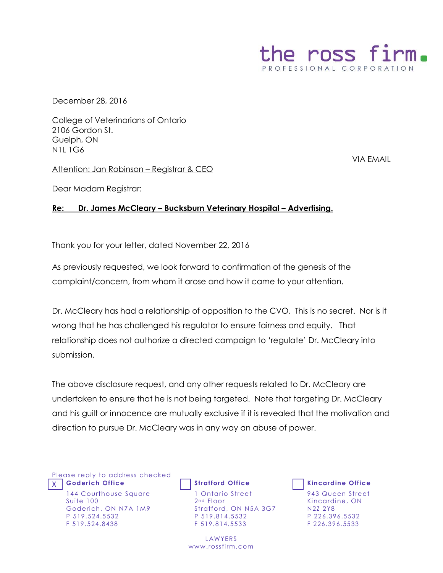

December 28, 2016

College of Veterinarians of Ontario 2106 Gordon St. Guelph, ON N1L 1G6

VIA EMAIL

Attention: Jan Robinson – Registrar & CEO

Dear Madam Registrar:

## **Re: Dr. James McCleary – Bucksburn Veterinary Hospital – Advertising.**

Thank you for your letter, dated November 22, 2016

As previously requested, we look forward to confirmation of the genesis of the complaint/concern, from whom it arose and how it came to your attention.

Dr. McCleary has had a relationship of opposition to the CVO. This is no secret. Nor is it wrong that he has challenged his regulator to ensure fairness and equity. That relationship does not authorize a directed campaign to 'regulate' Dr. McCleary into submission.

The above disclosure request, and any other requests related to Dr. McCleary are undertaken to ensure that he is not being targeted. Note that targeting Dr. McCleary and his guilt or innocence are mutually exclusive if it is revealed that the motivation and direction to pursue Dr. McCleary was in any way an abuse of power.

Please reply to address checked X **Goderich Office Stratford Office Kincardine Office**

144 Courthouse Square Suite 100 Goderich, ON N7A 1M9 P 519.524.5532 F 519.524.8438

1 Ontario Street 2<sup>nd</sup> Floor Stratford, ON N5A 3G7 P 519.814.5532 F 519. 814.5533

**LAWYERS** www.rossfirm.com



943 Queen Street Kincardine, ON N2Z 2Y8 P 226.396.5532 F 226.396.5533